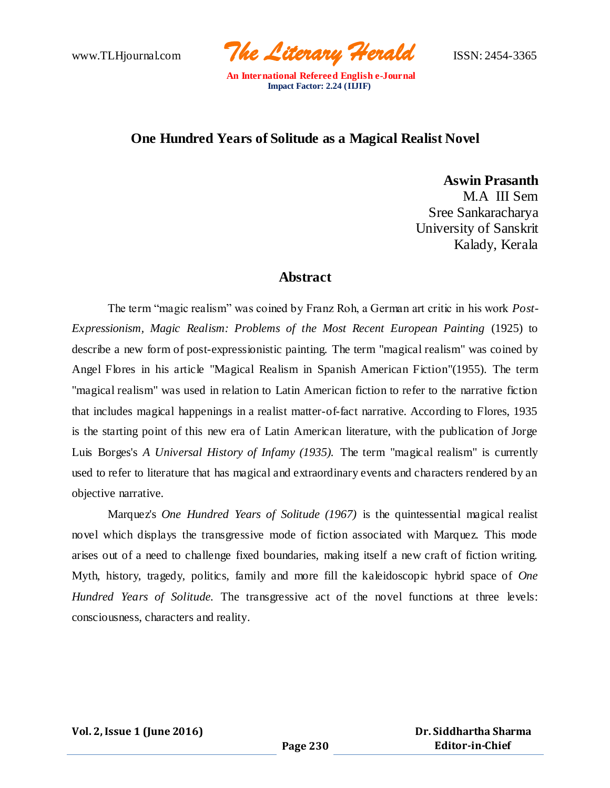www.TLHjournal.com *The Literary Herald*ISSN: 2454-3365

## **One Hundred Years of Solitude as a Magical Realist Novel**

**Aswin Prasanth** M.A III Sem Sree Sankaracharya University of Sanskrit Kalady, Kerala

### **Abstract**

The term "magic realism" was coined by Franz Roh, a German art critic in his work *Post-Expressionism, Magic Realism: Problems of the Most Recent European Painting* (1925) to describe a new form of post-expressionistic painting. The term "magical realism" was coined by Angel Flores in his article "Magical Realism in Spanish American Fiction"(1955). The term "magical realism" was used in relation to Latin American fiction to refer to the narrative fiction that includes magical happenings in a realist matter-of-fact narrative. According to Flores, 1935 is the starting point of this new era of Latin American literature, with the publication of Jorge Luis Borges's *A Universal History of Infamy (1935).* The term "magical realism" is currently used to refer to literature that has magical and extraordinary events and characters rendered by an objective narrative.

Marquez's *One Hundred Years of Solitude (1967)* is the quintessential magical realist novel which displays the transgressive mode of fiction associated with Marquez. This mode arises out of a need to challenge fixed boundaries, making itself a new craft of fiction writing. Myth, history, tragedy, politics, family and more fill the kaleidoscopic hybrid space of *One Hundred Years of Solitude.* The transgressive act of the novel functions at three levels: consciousness, characters and reality.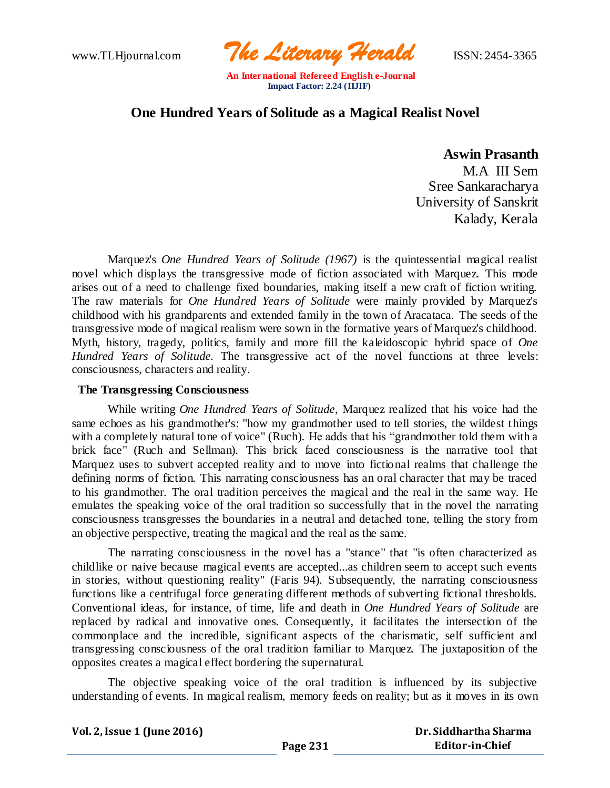www.TLHjournal.com *The Literary Herald*ISSN: 2454-3365

# **One Hundred Years of Solitude as a Magical Realist Novel**

### **Aswin Prasanth**

M.A III Sem Sree Sankaracharya University of Sanskrit Kalady, Kerala

Marquez's *One Hundred Years of Solitude (1967)* is the quintessential magical realist novel which displays the transgressive mode of fiction associated with Marquez. This mode arises out of a need to challenge fixed boundaries, making itself a new craft of fiction writing. The raw materials for *One Hundred Years of Solitude* were mainly provided by Marquez's childhood with his grandparents and extended family in the town of Aracataca. The seeds of the transgressive mode of magical realism were sown in the formative years of Marquez's childhood. Myth, history, tragedy, politics, family and more fill the kaleidoscopic hybrid space of *One Hundred Years of Solitude.* The transgressive act of the novel functions at three levels: consciousness, characters and reality.

#### **The Transgressing Consciousness**

While writing *One Hundred Years of Solitude*, Marquez realized that his voice had the same echoes as his grandmother's: "how my grandmother used to tell stories, the wildest things with a completely natural tone of voice" (Ruch). He adds that his "grandmother told them with a brick face" (Ruch and Sellman). This brick faced consciousness is the narrative tool that Marquez uses to subvert accepted reality and to move into fictional realms that challenge the defining norms of fiction. This narrating consciousness has an oral character that may be traced to his grandmother. The oral tradition perceives the magical and the real in the same way. He emulates the speaking voice of the oral tradition so successfully that in the novel the narrating consciousness transgresses the boundaries in a neutral and detached tone, telling the story from an objective perspective, treating the magical and the real as the same.

The narrating consciousness in the novel has a "stance" that "is often characterized as childlike or naive because magical events are accepted...as children seem to accept such events in stories, without questioning reality" (Faris 94). Subsequently, the narrating consciousness functions like a centrifugal force generating different methods of subverting fictional thresholds. Conventional ideas, for instance, of time, life and death in *One Hundred Years of Solitude* are replaced by radical and innovative ones. Consequently, it facilitates the intersection of the commonplace and the incredible, significant aspects of the charismatic, self sufficient and transgressing consciousness of the oral tradition familiar to Marquez. The juxtaposition of the opposites creates a magical effect bordering the supernatural.

The objective speaking voice of the oral tradition is influenced by its subjective understanding of events. In magical realism, memory feeds on reality; but as it moves in its own

| Dr. Siddhartha Sharma |
|-----------------------|
| Editor-in-Chief       |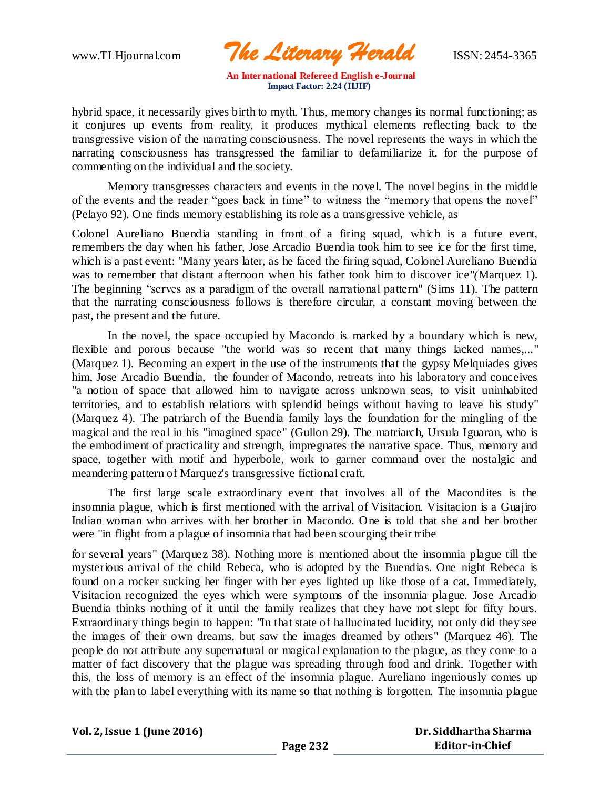www.TLHjournal.com *The Literary Herald*ISSN: 2454-3365

hybrid space, it necessarily gives birth to myth. Thus, memory changes its normal functioning; as it conjures up events from reality, it produces mythical elements reflecting back to the transgressive vision of the narrating consciousness. The novel represents the ways in which the narrating consciousness has transgressed the familiar to defamiliarize it, for the purpose of commenting on the individual and the society.

Memory transgresses characters and events in the novel. The novel begins in the middle of the events and the reader "goes back in time" to witness the "memory that opens the novel" (Pelayo 92). One finds memory establishing its role as a transgressive vehicle, as

Colonel Aureliano Buendia standing in front of a firing squad, which is a future event, remembers the day when his father, Jose Arcadio Buendia took him to see ice for the first time, which is a past event: "Many years later, as he faced the firing squad, Colonel Aureliano Buendia was to remember that distant afternoon when his father took him to discover ice"*(*Marquez 1). The beginning "serves as a paradigm of the overall narrational pattern" (Sims 11). The pattern that the narrating consciousness follows is therefore circular, a constant moving between the past, the present and the future.

In the novel*,* the space occupied by Macondo is marked by a boundary which is new, flexible and porous because "the world was so recent that many things lacked names,..." (Marquez 1). Becoming an expert in the use of the instruments that the gypsy Melquiades gives him, Jose Arcadio Buendia, the founder of Macondo, retreats into his laboratory and conceives "a notion of space that allowed him to navigate across unknown seas, to visit uninhabited territories, and to establish relations with splendid beings without having to leave his study" (Marquez 4). The patriarch of the Buendia family lays the foundation for the mingling of the magical and the real in his "imagined space" (Gullon 29). The matriarch, Ursula Iguaran, who is the embodiment of practicality and strength, impregnates the narrative space. Thus, memory and space, together with motif and hyperbole, work to garner command over the nostalgic and meandering pattern of Marquez's transgressive fictional craft.

The first large scale extraordinary event that involves all of the Macondites is the insomnia plague, which is first mentioned with the arrival of Visitacion. Visitacion is a Guajiro Indian woman who arrives with her brother in Macondo. One is told that she and her brother were "in flight from a plague of insomnia that had been scourging their tribe

for several years" (Marquez 38). Nothing more is mentioned about the insomnia plague till the mysterious arrival of the child Rebeca, who is adopted by the Buendias. One night Rebeca is found on a rocker sucking her finger with her eyes lighted up like those of a cat. Immediately, Visitacion recognized the eyes which were symptoms of the insomnia plague. Jose Arcadio Buendia thinks nothing of it until the family realizes that they have not slept for fifty hours. Extraordinary things begin to happen: "In that state of hallucinated lucidity, not only did they see the images of their own dreams, but saw the images dreamed by others" (Marquez 46). The people do not attribute any supernatural or magical explanation to the plague, as they come to a matter of fact discovery that the plague was spreading through food and drink. Together with this, the loss of memory is an effect of the insomnia plague. Aureliano ingeniously comes up with the plan to label everything with its name so that nothing is forgotten. The insomnia plague

**Vol. 2, Issue 1 (June 2016)**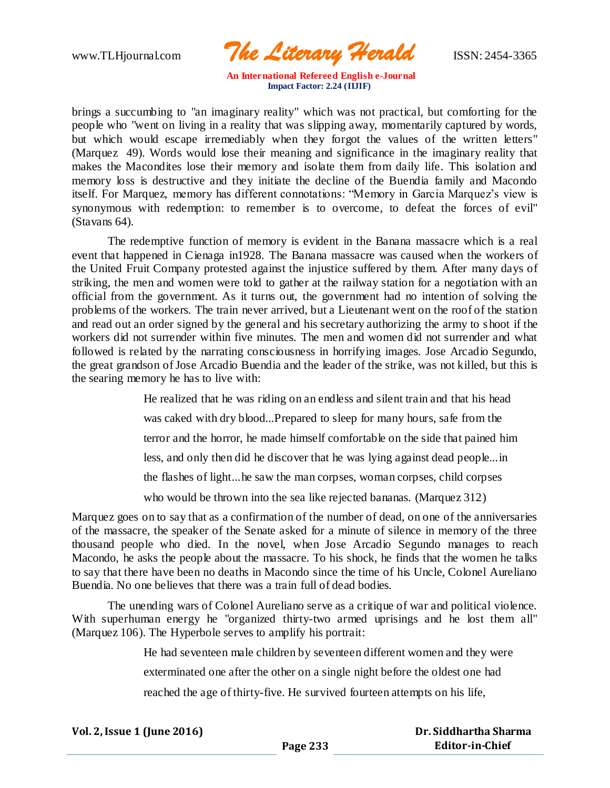www.TLHjournal.com *The Literary Herald*ISSN: 2454-3365

brings a succumbing to "an imaginary reality" which was not practical, but comforting for the people who "went on living in a reality that was slipping away, momentarily captured by words, but which would escape irremediably when they forgot the values of the written letters" (Marquez 49). Words would lose their meaning and significance in the imaginary reality that makes the Macondites lose their memory and isolate them from daily life. This isolation and memory loss is destructive and they initiate the decline of the Buendia family and Macondo itself. For Marquez, memory has different connotations: "Memory in Garcia Marquez's view is synonymous with redemption: to remember is to overcome, to defeat the forces of evil" (Stavans 64).

The redemptive function of memory is evident in the Banana massacre which is a real event that happened in Cienaga in1928. The Banana massacre was caused when the workers of the United Fruit Company protested against the injustice suffered by them. After many days of striking, the men and women were told to gather at the railway station for a negotiation with an official from the government. As it turns out, the government had no intention of solving the problems of the workers. The train never arrived, but a Lieutenant went on the roof of the station and read out an order signed by the general and his secretary authorizing the army to shoot if the workers did not surrender within five minutes. The men and women did not surrender and what followed is related by the narrating consciousness in horrifying images. Jose Arcadio Segundo, the great grandson of Jose Arcadio Buendia and the leader of the strike, was not killed, but this is the searing memory he has to live with:

> He realized that he was riding on an endless and silent train and that his head was caked with dry blood...Prepared to sleep for many hours, safe from the terror and the horror, he made himself comfortable on the side that pained him less, and only then did he discover that he was lying against dead people...in the flashes of light...he saw the man corpses, woman corpses, child corpses who would be thrown into the sea like rejected bananas. (Marquez 312)

Marquez goes on to say that as a confirmation of the number of dead, on one of the anniversaries of the massacre, the speaker of the Senate asked for a minute of silence in memory of the three thousand people who died. In the novel, when Jose Arcadio Segundo manages to reach Macondo, he asks the people about the massacre. To his shock, he finds that the women he talks to say that there have been no deaths in Macondo since the time of his Uncle, Colonel Aureliano Buendia. No one believes that there was a train full of dead bodies.

The unending wars of Colonel Aureliano serve as a critique of war and political violence. With superhuman energy he "organized thirty-two armed uprisings and he lost them all" (Marquez 106). The Hyperbole serves to amplify his portrait:

He had seventeen male children by seventeen different women and they were

exterminated one after the other on a single night before the oldest one had

reached the age of thirty-five. He survived fourteen attempts on his life,

| Vol. 2, Issue 1 (June 2016) |          | Dr. Siddhartha Sharma |
|-----------------------------|----------|-----------------------|
|                             | Page 233 | Editor-in-Chief       |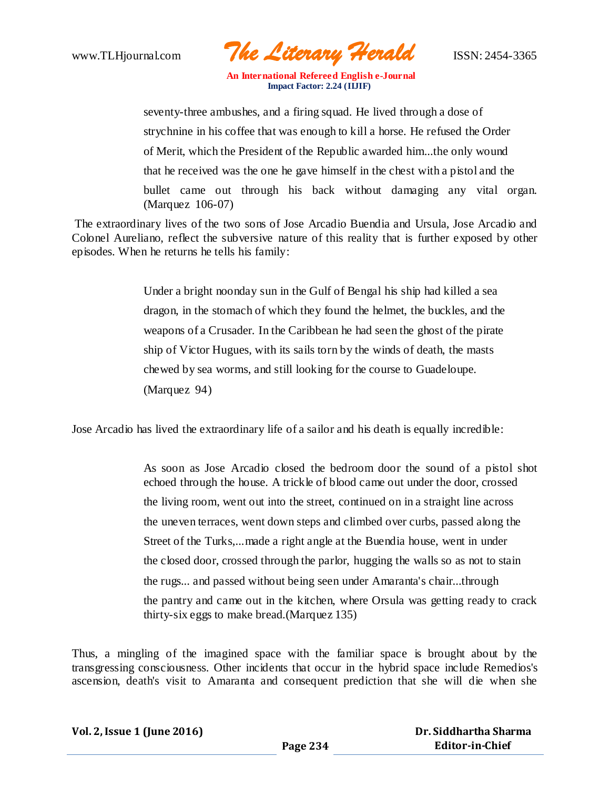

seventy-three ambushes, and a firing squad. He lived through a dose of strychnine in his coffee that was enough to kill a horse. He refused the Order of Merit, which the President of the Republic awarded him...the only wound that he received was the one he gave himself in the chest with a pistol and the bullet came out through his back without damaging any vital organ. (Marquez 106-07)

The extraordinary lives of the two sons of Jose Arcadio Buendia and Ursula, Jose Arcadio and Colonel Aureliano, reflect the subversive nature of this reality that is further exposed by other episodes. When he returns he tells his family:

> Under a bright noonday sun in the Gulf of Bengal his ship had killed a sea dragon, in the stomach of which they found the helmet, the buckles, and the weapons of a Crusader. In the Caribbean he had seen the ghost of the pirate ship of Victor Hugues, with its sails torn by the winds of death, the masts chewed by sea worms, and still looking for the course to Guadeloupe. (Marquez 94)

Jose Arcadio has lived the extraordinary life of a sailor and his death is equally incredible:

As soon as Jose Arcadio closed the bedroom door the sound of a pistol shot echoed through the house. A trickle of blood came out under the door, crossed the living room, went out into the street, continued on in a straight line across the uneven terraces, went down steps and climbed over curbs, passed along the Street of the Turks,...made a right angle at the Buendia house, went in under the closed door, crossed through the parlor, hugging the walls so as not to stain the rugs... and passed without being seen under Amaranta's chair...through the pantry and came out in the kitchen, where Orsula was getting ready to crack thirty-six eggs to make bread.(Marquez 135)

Thus, a mingling of the imagined space with the familiar space is brought about by the transgressing consciousness. Other incidents that occur in the hybrid space include Remedios's ascension, death's visit to Amaranta and consequent prediction that she will die when she

| Vol. 2, Issue 1 (June 2016) |
|-----------------------------|
|-----------------------------|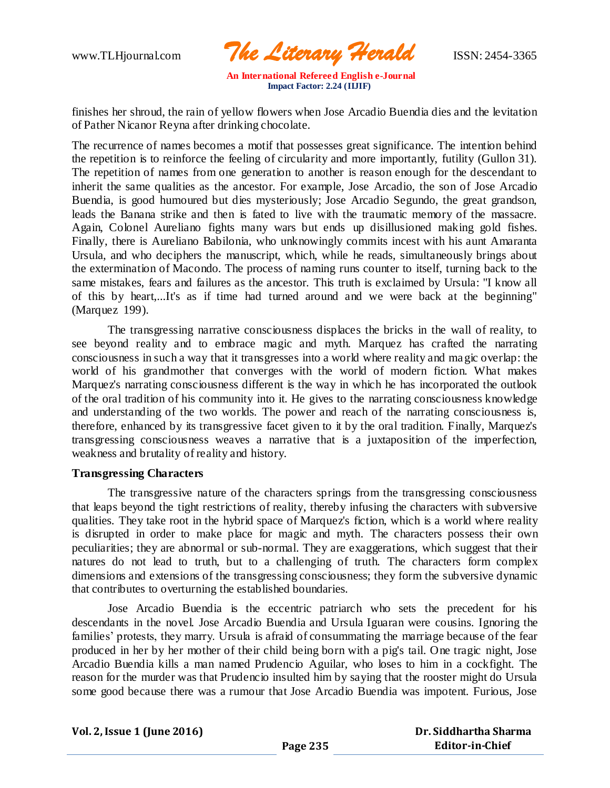www.TLHjournal.com *The Literary Herald*ISSN: 2454-3365

finishes her shroud, the rain of yellow flowers when Jose Arcadio Buendia dies and the levitation of Pather Nicanor Reyna after drinking chocolate.

The recurrence of names becomes a motif that possesses great significance. The intention behind the repetition is to reinforce the feeling of circularity and more importantly, futility (Gullon 31). The repetition of names from one generation to another is reason enough for the descendant to inherit the same qualities as the ancestor. For example, Jose Arcadio, the son of Jose Arcadio Buendia, is good humoured but dies mysteriously; Jose Arcadio Segundo, the great grandson, leads the Banana strike and then is fated to live with the traumatic memory of the massacre. Again, Colonel Aureliano fights many wars but ends up disillusioned making gold fishes. Finally, there is Aureliano Babilonia, who unknowingly commits incest with his aunt Amaranta Ursula, and who deciphers the manuscript, which, while he reads, simultaneously brings about the extermination of Macondo. The process of naming runs counter to itself, turning back to the same mistakes, fears and failures as the ancestor. This truth is exclaimed by Ursula: "I know all of this by heart,...It's as if time had turned around and we were back at the beginning" (Marquez 199).

The transgressing narrative consciousness displaces the bricks in the wall of reality, to see beyond reality and to embrace magic and myth. Marquez has crafted the narrating consciousness in such a way that it transgresses into a world where reality and ma gic overlap: the world of his grandmother that converges with the world of modern fiction. What makes Marquez's narrating consciousness different is the way in which he has incorporated the outlook of the oral tradition of his community into it. He gives to the narrating consciousness knowledge and understanding of the two worlds. The power and reach of the narrating consciousness is, therefore, enhanced by its transgressive facet given to it by the oral tradition. Finally, Marquez's transgressing consciousness weaves a narrative that is a juxtaposition of the imperfection, weakness and brutality of reality and history.

#### **Transgressing Characters**

The transgressive nature of the characters springs from the transgressing consciousness that leaps beyond the tight restrictions of reality, thereby infusing the characters with subversive qualities. They take root in the hybrid space of Marquez's fiction, which is a world where reality is disrupted in order to make place for magic and myth. The characters possess their own peculiarities; they are abnormal or sub-normal. They are exaggerations, which suggest that their natures do not lead to truth, but to a challenging of truth. The characters form complex dimensions and extensions of the transgressing consciousness; they form the subversive dynamic that contributes to overturning the established boundaries.

Jose Arcadio Buendia is the eccentric patriarch who sets the precedent for his descendants in the novel*.* Jose Arcadio Buendia and Ursula Iguaran were cousins. Ignoring the families' protests, they marry. Ursula is afraid of consummating the marriage because of the fear produced in her by her mother of their child being born with a pig's tail. One tragic night, Jose Arcadio Buendia kills a man named Prudencio Aguilar, who loses to him in a cockfight. The reason for the murder was that Prudencio insulted him by saying that the rooster might do Ursula some good because there was a rumour that Jose Arcadio Buendia was impotent. Furious, Jose

**Vol. 2, Issue 1 (June 2016)**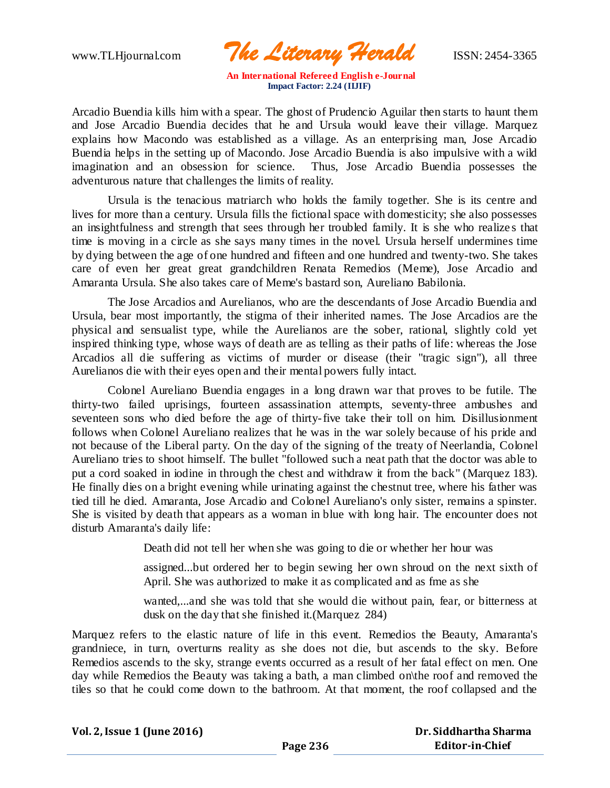www.TLHjournal.com *The Literary Herald*ISSN: 2454-3365

Arcadio Buendia kills him with a spear. The ghost of Prudencio Aguilar then starts to haunt them and Jose Arcadio Buendia decides that he and Ursula would leave their village. Marquez explains how Macondo was established as a village. As an enterprising man, Jose Arcadio Buendia helps in the setting up of Macondo. Jose Arcadio Buendia is also impulsive with a wild imagination and an obsession for science. Thus, Jose Arcadio Buendia possesses the adventurous nature that challenges the limits of reality.

Ursula is the tenacious matriarch who holds the family together. She is its centre and lives for more than a century. Ursula fills the fictional space with domesticity; she also possesses an insightfulness and strength that sees through her troubled family. It is she who realize s that time is moving in a circle as she says many times in the novel. Ursula herself undermines time by dying between the age of one hundred and fifteen and one hundred and twenty-two. She takes care of even her great great grandchildren Renata Remedios (Meme), Jose Arcadio and Amaranta Ursula. She also takes care of Meme's bastard son, Aureliano Babilonia.

The Jose Arcadios and Aurelianos, who are the descendants of Jose Arcadio Buendia and Ursula, bear most importantly, the stigma of their inherited names. The Jose Arcadios are the physical and sensualist type, while the Aurelianos are the sober, rational, slightly cold yet inspired thinking type, whose ways of death are as telling as their paths of life: whereas the Jose Arcadios all die suffering as victims of murder or disease (their "tragic sign"), all three Aurelianos die with their eyes open and their mental powers fully intact.

Colonel Aureliano Buendia engages in a long drawn war that proves to be futile. The thirty-two failed uprisings, fourteen assassination attempts, seventy-three ambushes and seventeen sons who died before the age of thirty-five take their toll on him. Disillusionment follows when Colonel Aureliano realizes that he was in the war solely because of his pride and not because of the Liberal party. On the day of the signing of the treaty of Neerlandia, Colonel Aureliano tries to shoot himself. The bullet "followed such a neat path that the doctor was able to put a cord soaked in iodine in through the chest and withdraw it from the back" (Marquez 183). He finally dies on a bright evening while urinating against the chestnut tree, where his father was tied till he died. Amaranta, Jose Arcadio and Colonel Aureliano's only sister, remains a spinster. She is visited by death that appears as a woman in blue with long hair. The encounter does not disturb Amaranta's daily life:

Death did not tell her when she was going to die or whether her hour was

assigned...but ordered her to begin sewing her own shroud on the next sixth of April. She was authorized to make it as complicated and as fme as she

wanted,...and she was told that she would die without pain, fear, or bitterness at dusk on the day that she finished it.(Marquez 284)

Marquez refers to the elastic nature of life in this event. Remedios the Beauty, Amaranta's grandniece, in turn, overturns reality as she does not die, but ascends to the sky. Before Remedios ascends to the sky, strange events occurred as a result of her fatal effect on men. One day while Remedios the Beauty was taking a bath, a man climbed on\the roof and removed the tiles so that he could come down to the bathroom. At that moment, the roof collapsed and the

| Vol. 2, Issue 1 (June 2016) |  |  |  |  |
|-----------------------------|--|--|--|--|
|-----------------------------|--|--|--|--|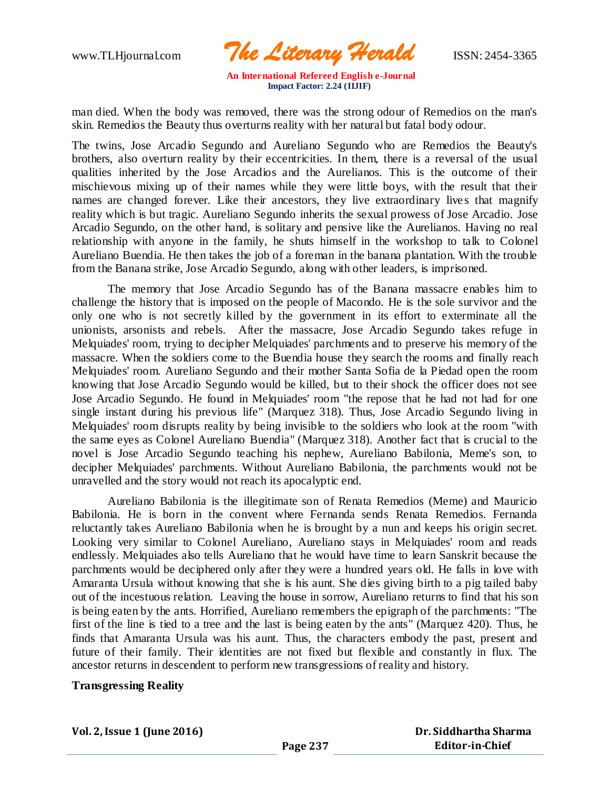www.TLHjournal.com *The Literary Herald*ISSN: 2454-3365

man died. When the body was removed, there was the strong odour of Remedios on the man's skin. Remedios the Beauty thus overturns reality with her natural but fatal body odour.

The twins, Jose Arcadio Segundo and Aureliano Segundo who are Remedios the Beauty's brothers, also overturn reality by their eccentricities. In them, there is a reversal of the usual qualities inherited by the Jose Arcadios and the Aurelianos. This is the outcome of their mischievous mixing up of their names while they were little boys, with the result that their names are changed forever. Like their ancestors, they live extraordinary lives that magnify reality which is but tragic. Aureliano Segundo inherits the sexual prowess of Jose Arcadio. Jose Arcadio Segundo, on the other hand, is solitary and pensive like the Aurelianos. Having no real relationship with anyone in the family, he shuts himself in the workshop to talk to Colonel Aureliano Buendia. He then takes the job of a foreman in the banana plantation. With the trouble from the Banana strike, Jose Arcadio Segundo, along with other leaders, is imprisoned.

The memory that Jose Arcadio Segundo has of the Banana massacre enables him to challenge the history that is imposed on the people of Macondo. He is the sole survivor and the only one who is not secretly killed by the government in its effort to exterminate all the unionists, arsonists and rebels. After the massacre, Jose Arcadio Segundo takes refuge in Melquiades' room, trying to decipher Melquiades' parchments and to preserve his memory of the massacre. When the soldiers come to the Buendia house they search the rooms and finally reach Melquiades' room. Aureliano Segundo and their mother Santa Sofia de la Piedad open the room knowing that Jose Arcadio Segundo would be killed, but to their shock the officer does not see Jose Arcadio Segundo. He found in Melquiades' room "the repose that he had not had for one single instant during his previous life" (Marquez 318). Thus, Jose Arcadio Segundo living in Melquiades' room disrupts reality by being invisible to the soldiers who look at the room "with the same eyes as Colonel Aureliano Buendia" (Marquez 318). Another fact that is crucial to the novel is Jose Arcadio Segundo teaching his nephew, Aureliano Babilonia, Meme's son, to decipher Melquiades' parchments. Without Aureliano Babilonia, the parchments would not be unravelled and the story would not reach its apocalyptic end.

Aureliano Babilonia is the illegitimate son of Renata Remedios (Meme) and Mauricio Babilonia. He is born in the convent where Fernanda sends Renata Remedios. Fernanda reluctantly takes Aureliano Babilonia when he is brought by a nun and keeps his origin secret. Looking very similar to Colonel Aureliano, Aureliano stays in Melquiades' room and reads endlessly. Melquiades also tells Aureliano that he would have time to learn Sanskrit because the parchments would be deciphered only after they were a hundred years old. He falls in love with Amaranta Ursula without knowing that she is his aunt. She dies giving birth to a pig tailed baby out of the incestuous relation. Leaving the house in sorrow, Aureliano returns to find that his son is being eaten by the ants. Horrified, Aureliano remembers the epigraph of the parchments: "The first of the line is tied to a tree and the last is being eaten by the ants" (Marquez 420). Thus, he finds that Amaranta Ursula was his aunt. Thus, the characters embody the past, present and future of their family. Their identities are not fixed but flexible and constantly in flux. The ancestor returns in descendent to perform new transgressions of reality and history.

#### **Transgressing Reality**

**Vol. 2, Issue 1 (June 2016)**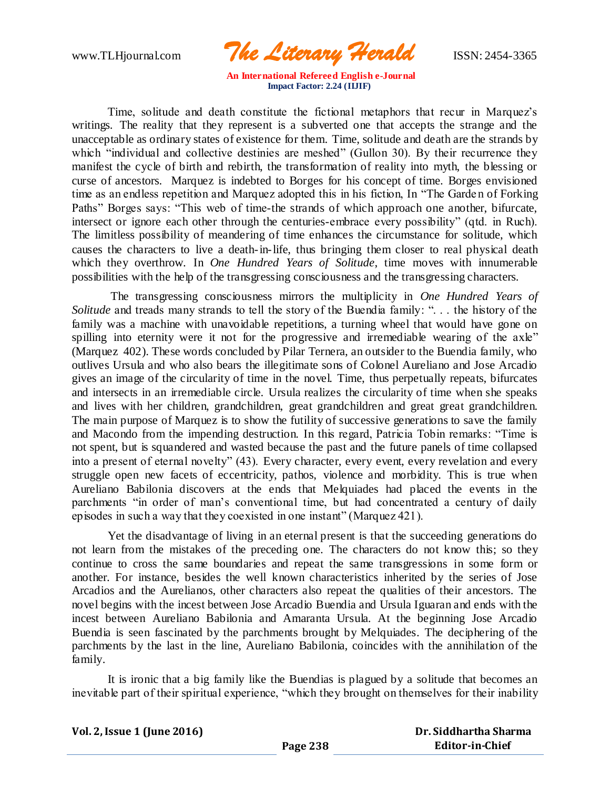www.TLHjournal.com *The Literary Herald*ISSN: 2454-3365

Time, solitude and death constitute the fictional metaphors that recur in Marquez's writings. The reality that they represent is a subverted one that accepts the strange and the unacceptable as ordinary states of existence for them. Time, solitude and death are the strands by which "individual and collective destinies are meshed" (Gullon 30). By their recurrence they manifest the cycle of birth and rebirth, the transformation of reality into myth, the blessing or curse of ancestors. Marquez is indebted to Borges for his concept of time. Borges envisioned time as an endless repetition and Marquez adopted this in his fiction, In "The Garden of Forking Paths" Borges says: "This web of time-the strands of which approach one another, bifurcate, intersect or ignore each other through the centuries-embrace every possibility" (qtd. in Ruch). The limitless possibility of meandering of time enhances the circumstance for solitude, which causes the characters to live a death-in-life, thus bringing them closer to real physical death which they overthrow. In *One Hundred Years of Solitude*, time moves with innumerable possibilities with the help of the transgressing consciousness and the transgressing characters.

The transgressing consciousness mirrors the multiplicity in *One Hundred Years of Solitude* and treads many strands to tell the story of the Buendia family: "... the history of the family was a machine with unavoidable repetitions, a turning wheel that would have gone on spilling into eternity were it not for the progressive and irremediable wearing of the axle" (Marquez 402). These words concluded by Pilar Ternera, an outsider to the Buendia family, who outlives Ursula and who also bears the illegitimate sons of Colonel Aureliano and Jose Arcadio gives an image of the circularity of time in the novel. Time, thus perpetually repeats, bifurcates and intersects in an irremediable circle. Ursula realizes the circularity of time when she speaks and lives with her children, grandchildren, great grandchildren and great great grandchildren. The main purpose of Marquez is to show the futility of successive generations to save the family and Macondo from the impending destruction. In this regard, Patricia Tobin remarks: "Time is not spent, but is squandered and wasted because the past and the future panels of time collapsed into a present of eternal novelty" (43). Every character, every event, every revelation and every struggle open new facets of eccentricity, pathos, violence and morbidity. This is true when Aureliano Babilonia discovers at the ends that Melquiades had placed the events in the parchments "in order of man's conventional time, but had concentrated a century of daily episodes in such a way that they coexisted in one instant" (Marquez 421).

Yet the disadvantage of living in an eternal present is that the succeeding generations do not learn from the mistakes of the preceding one. The characters do not know this; so they continue to cross the same boundaries and repeat the same transgressions in some form or another. For instance, besides the well known characteristics inherited by the series of Jose Arcadios and the Aurelianos, other characters also repeat the qualities of their ancestors. The novel begins with the incest between Jose Arcadio Buendia and Ursula Iguaran and ends with the incest between Aureliano Babilonia and Amaranta Ursula. At the beginning Jose Arcadio Buendia is seen fascinated by the parchments brought by Melquiades. The deciphering of the parchments by the last in the line, Aureliano Babilonia, coincides with the annihilation of the family.

It is ironic that a big family like the Buendias is plagued by a solitude that becomes an inevitable part of their spiritual experience, "which they brought on themselves for their inability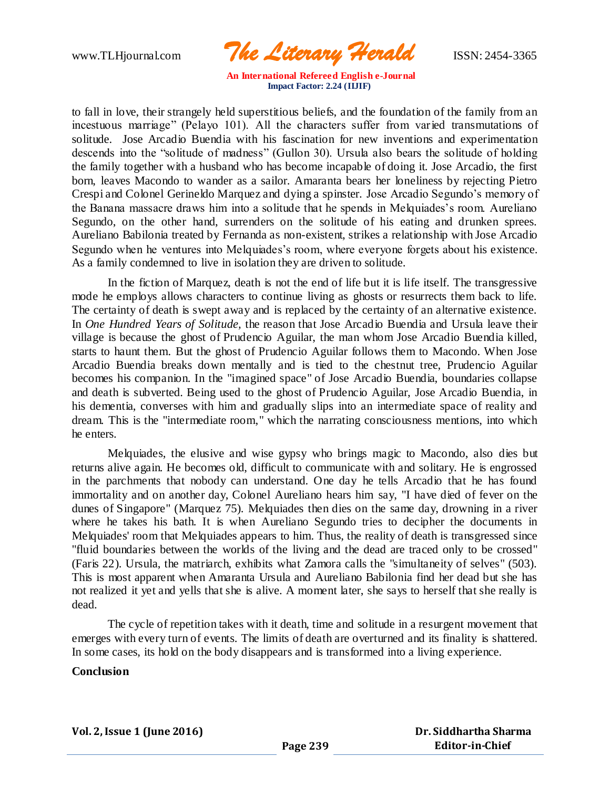www.TLHjournal.com *The Literary Herald*ISSN: 2454-3365

to fall in love, their strangely held superstitious beliefs, and the foundation of the family from an incestuous marriage" (Pelayo 101). All the characters suffer from varied transmutations of solitude. Jose Arcadio Buendia with his fascination for new inventions and experimentation descends into the "solitude of madness" (Gullon 30). Ursula also bears the solitude of holding the family together with a husband who has become incapable of doing it. Jose Arcadio, the first born, leaves Macondo to wander as a sailor. Amaranta bears her loneliness by rejecting Pietro Crespi and Colonel Gerineldo Marquez and dying a spinster. Jose Arcadio Segundo's memory of the Banana massacre draws him into a solitude that he spends in Melquiades's room. Aureliano Segundo, on the other hand, surrenders on the solitude of his eating and drunken sprees. Aureliano Babilonia treated by Fernanda as non-existent, strikes a relationship with Jose Arcadio Segundo when he ventures into Melquiades's room, where everyone forgets about his existence. As a family condemned to live in isolation they are driven to solitude.

In the fiction of Marquez, death is not the end of life but it is life itself. The transgressive mode he employs allows characters to continue living as ghosts or resurrects them back to life. The certainty of death is swept away and is replaced by the certainty of an alternative existence. In *One Hundred Years of Solitude,* the reason that Jose Arcadio Buendia and Ursula leave their village is because the ghost of Prudencio Aguilar, the man whom Jose Arcadio Buendia killed, starts to haunt them. But the ghost of Prudencio Aguilar follows them to Macondo. When Jose Arcadio Buendia breaks down mentally and is tied to the chestnut tree, Prudencio Aguilar becomes his companion. In the "imagined space" of Jose Arcadio Buendia, boundaries collapse and death is subverted. Being used to the ghost of Prudencio Aguilar, Jose Arcadio Buendia, in his dementia, converses with him and gradually slips into an intermediate space of reality and dream. This is the "intermediate room," which the narrating consciousness mentions, into which he enters.

Melquiades, the elusive and wise gypsy who brings magic to Macondo, also dies but returns alive again. He becomes old, difficult to communicate with and solitary. He is engrossed in the parchments that nobody can understand. One day he tells Arcadio that he has found immortality and on another day, Colonel Aureliano hears him say, "I have died of fever on the dunes of Singapore" (Marquez 75). Melquiades then dies on the same day, drowning in a river where he takes his bath. It is when Aureliano Segundo tries to decipher the documents in Melquiades' room that Melquiades appears to him. Thus, the reality of death is transgressed since "fluid boundaries between the worlds of the living and the dead are traced only to be crossed" (Faris 22). Ursula, the matriarch, exhibits what Zamora calls the "simultaneity of selves" (503). This is most apparent when Amaranta Ursula and Aureliano Babilonia find her dead but she has not realized it yet and yells that she is alive. A moment later, she says to herself that she really is dead.

The cycle of repetition takes with it death, time and solitude in a resurgent movement that emerges with every turn of events. The limits of death are overturned and its finality is shattered. In some cases, its hold on the body disappears and is transformed into a living experience.

#### **Conclusion**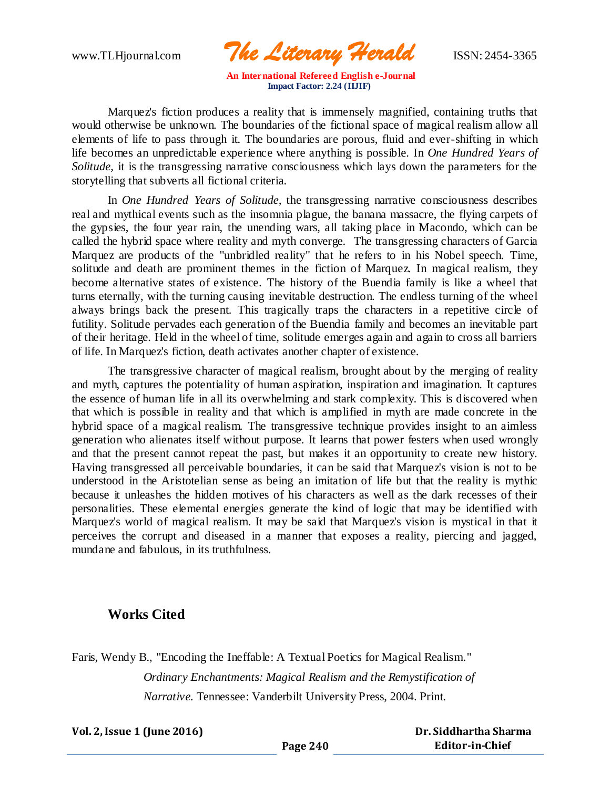www.TLHjournal.com *The Literary Herald*ISSN: 2454-3365

Marquez's fiction produces a reality that is immensely magnified, containing truths that would otherwise be unknown. The boundaries of the fictional space of magical realism allow all elements of life to pass through it. The boundaries are porous, fluid and ever-shifting in which life becomes an unpredictable experience where anything is possible. In *One Hundred Years of Solitude,* it is the transgressing narrative consciousness which lays down the parameters for the storytelling that subverts all fictional criteria.

In *One Hundred Years of Solitude,* the transgressing narrative consciousness describes real and mythical events such as the insomnia plague, the banana massacre, the flying carpets of the gypsies, the four year rain, the unending wars, all taking place in Macondo, which can be called the hybrid space where reality and myth converge. The transgressing characters of Garcia Marquez are products of the "unbridled reality" that he refers to in his Nobel speech. Time, solitude and death are prominent themes in the fiction of Marquez. In magical realism, they become alternative states of existence. The history of the Buendia family is like a wheel that turns eternally, with the turning causing inevitable destruction. The endless turning of the wheel always brings back the present. This tragically traps the characters in a repetitive circle of futility. Solitude pervades each generation of the Buendia family and becomes an inevitable part of their heritage. Held in the wheel of time, solitude emerges again and again to cross all barriers of life. In Marquez's fiction, death activates another chapter of existence.

The transgressive character of magical realism, brought about by the merging of reality and myth, captures the potentiality of human aspiration, inspiration and imagination. It captures the essence of human life in all its overwhelming and stark complexity. This is discovered when that which is possible in reality and that which is amplified in myth are made concrete in the hybrid space of a magical realism. The transgressive technique provides insight to an aimless generation who alienates itself without purpose. It learns that power festers when used wrongly and that the present cannot repeat the past, but makes it an opportunity to create new history. Having transgressed all perceivable boundaries, it can be said that Marquez's vision is not to be understood in the Aristotelian sense as being an imitation of life but that the reality is mythic because it unleashes the hidden motives of his characters as well as the dark recesses of their personalities. These elemental energies generate the kind of logic that may be identified with Marquez's world of magical realism. It may be said that Marquez's vision is mystical in that it perceives the corrupt and diseased in a manner that exposes a reality, piercing and jagged, mundane and fabulous, in its truthfulness.

## **Works Cited**

Faris, Wendy B., "Encoding the Ineffable: A Textual Poetics for Magical Realism." *Ordinary Enchantments: Magical Realism and the Remystification of Narrative.* Tennessee: Vanderbilt University Press, 2004. Print.

**Vol. 2, Issue 1 (June 2016)**

 **Dr. Siddhartha Sharma Editor-in-Chief**